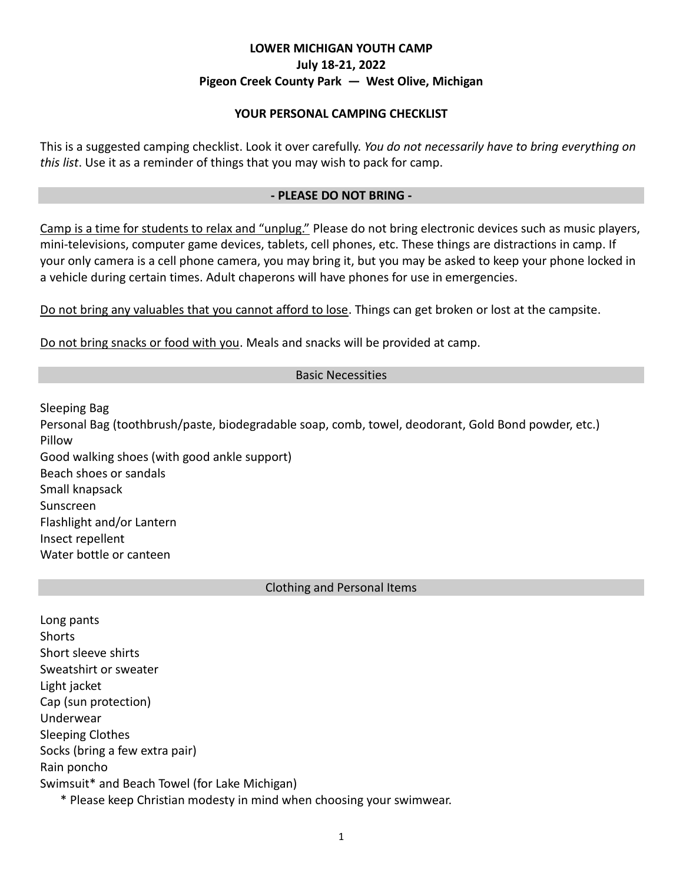# **LOWER MICHIGAN YOUTH CAMP July 18-21, 2022 Pigeon Creek County Park — West Olive, Michigan**

## **YOUR PERSONAL CAMPING CHECKLIST**

This is a suggested camping checklist. Look it over carefully. *You do not necessarily have to bring everything on this list*. Use it as a reminder of things that you may wish to pack for camp.

## **- PLEASE DO NOT BRING -**

Camp is a time for students to relax and "unplug." Please do not bring electronic devices such as music players, mini-televisions, computer game devices, tablets, cell phones, etc. These things are distractions in camp. If your only camera is a cell phone camera, you may bring it, but you may be asked to keep your phone locked in a vehicle during certain times. Adult chaperons will have phones for use in emergencies.

Do not bring any valuables that you cannot afford to lose. Things can get broken or lost at the campsite.

Do not bring snacks or food with you. Meals and snacks will be provided at camp.

## Basic Necessities

Sleeping Bag Personal Bag (toothbrush/paste, biodegradable soap, comb, towel, deodorant, Gold Bond powder, etc.) Pillow Good walking shoes (with good ankle support) Beach shoes or sandals Small knapsack Sunscreen Flashlight and/or Lantern Insect repellent

Clothing and Personal Items

Long pants Shorts Short sleeve shirts Sweatshirt or sweater Light jacket Cap (sun protection) Underwear Sleeping Clothes Socks (bring a few extra pair) Rain poncho Swimsuit\* and Beach Towel (for Lake Michigan) \* Please keep Christian modesty in mind when choosing your swimwear.

Water bottle or canteen